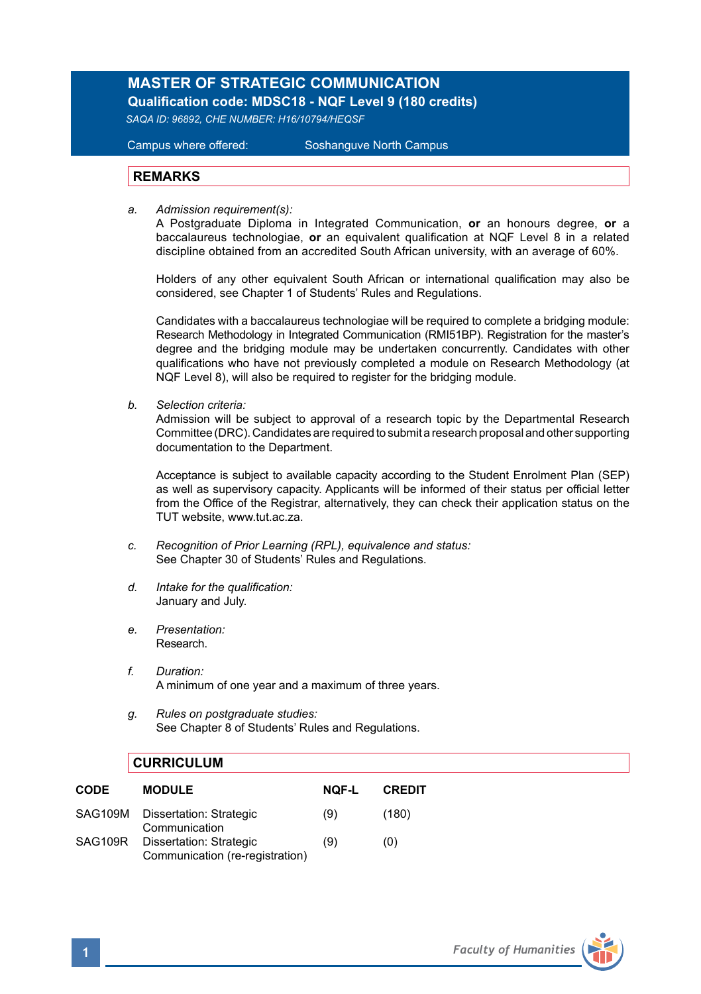## **MASTER OF STRATEGIC COMMUNICATION Qualification code: MDSC18 - NQF Level 9 (180 credits)**

*SAQA ID: 96892, CHE NUMBER: H16/10794/HEQSF*

Campus where offered: Soshanguve North Campus

## **REMARKS**

*a. Admission requirement(s):*

A Postgraduate Diploma in Integrated Communication, **or** an honours degree, **or** a baccalaureus technologiae, **or** an equivalent qualification at NQF Level 8 in a related discipline obtained from an accredited South African university, with an average of 60%.

Holders of any other equivalent South African or international qualification may also be considered, see Chapter 1 of Students' Rules and Regulations.

Candidates with a baccalaureus technologiae will be required to complete a bridging module: Research Methodology in Integrated Communication (RMI51BP). Registration for the master's degree and the bridging module may be undertaken concurrently. Candidates with other qualifications who have not previously completed a module on Research Methodology (at NQF Level 8), will also be required to register for the bridging module.

*b. Selection criteria:*

Admission will be subject to approval of a research topic by the Departmental Research Committee (DRC). Candidates are required to submit a research proposal and other supporting documentation to the Department.

Acceptance is subject to available capacity according to the Student Enrolment Plan (SEP) as well as supervisory capacity. Applicants will be informed of their status per official letter from the Office of the Registrar, alternatively, they can check their application status on the TUT website, www.tut.ac.za.

- *c. Recognition of Prior Learning (RPL), equivalence and status:* See Chapter 30 of Students' Rules and Regulations.
- *d. Intake for the qualification:* January and July.
- *e. Presentation:*  Research.
- *f. Duration:* A minimum of one year and a maximum of three years.
- *g. Rules on postgraduate studies:* See Chapter 8 of Students' Rules and Regulations.

## **CURRICULUM**

| <b>CODE</b> | <b>MODULE</b>                                              | <b>NOF-L</b> | <b>CREDIT</b> |
|-------------|------------------------------------------------------------|--------------|---------------|
|             | SAG109M Dissertation: Strategic<br>Communication           | (9)          | (180)         |
| SAG109R     | Dissertation: Strategic<br>Communication (re-registration) | (9)          | (0)           |